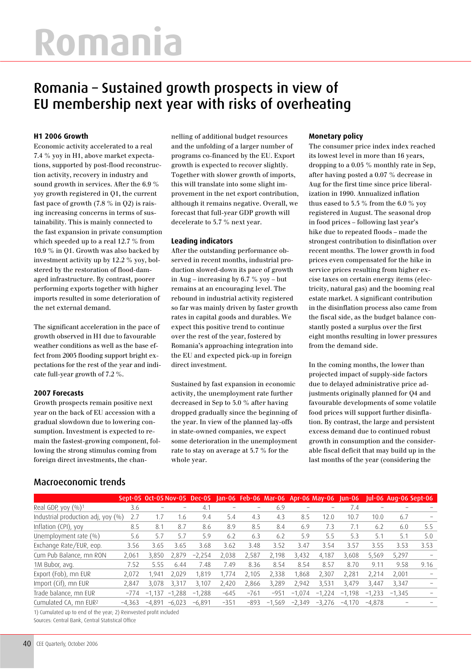# **Romania**

# Romania – Sustained growth prospects in view of EU membership next year with risks of overheating

# **H1 2006 Growth**

Economic activity accelerated to a real 7.4 % yoy in H1, above market expectations, supported by post-flood reconstruction activity, recovery in industry and sound growth in services. After the 6.9 % yoy growth registered in Q1, the current fast pace of growth (7.8 % in Q2) is raising increasing concerns in terms of sustainability. This is mainly connected to the fast expansion in private consumption which speeded up to a real 12.7 % from 10.9 % in Q1. Growth was also backed by investment activity up by 12.2 % yoy, bolstered by the restoration of flood-damaged infrastructure. By contrast, poorer performing exports together with higher imports resulted in some deterioration of the net external demand.

The significant acceleration in the pace of growth observed in H1 due to favourable weather conditions as well as the base effect from 2005 flooding support bright expectations for the rest of the year and indicate full-year growth of 7.2 %.

### **2007 Forecasts**

Growth prospects remain positive next year on the back of EU accession with a gradual slowdown due to lowering consumption. Investment is expected to remain the fastest-growing component, following the strong stimulus coming from foreign direct investments, the chan-

Macroeconomic trends

nelling of additional budget resources and the unfolding of a larger number of programs co-financed by the EU. Export growth is expected to recover slightly. Together with slower growth of imports, this will translate into some slight improvement in the net export contribution, although it remains negative. Overall, we forecast that full-year GDP growth will decelerate to 5.7 % next year.

### **Leading indicators**

After the outstanding performance observed in recent months, industrial production slowed-down its pace of growth in Aug – increasing by 6.7 % yoy – but remains at an encouraging level. The rebound in industrial activity registered so far was mainly driven by faster growth rates in capital goods and durables. We expect this positive trend to continue over the rest of the year, fostered by Romania's approaching integration into the EU and expected pick-up in foreign direct investment.

Sustained by fast expansion in economic activity, the unemployment rate further decreased in Sep to 5.0 % after having dropped gradually since the beginning of the year. In view of the planned lay-offs in state-owned companies, we expect some deterioration in the unemployment rate to stay on average at 5.7 % for the whole year.

## **Monetary policy**

The consumer price index index reached its lowest level in more than 16 years, dropping to a 0.05 % monthly rate in Sep, after having posted a 0.07 % decrease in Aug for the first time since price liberalization in 1990. Annualized inflation thus eased to 5.5 % from the 6.0 % yoy registered in August. The seasonal drop in food prices – following last year's hike due to repeated floods – made the strongest contribution to disinflation over recent months. The lower growth in food prices even compensated for the hike in service prices resulting from higher excise taxes on certain energy items (electricity, natural gas) and the booming real estate market. A significant contribution in the disinflation process also came from the fiscal side, as the budget balance constantly posted a surplus over the first eight months resulting in lower pressures from the demand side.

In the coming months, the lower than projected impact of supply-side factors due to delayed administrative price adjustments originally planned for Q4 and favourable developments of some volatile food prices will support further disinflation. By contrast, the large and persistent excess demand due to continued robust growth in consumption and the considerable fiscal deficit that may build up in the last months of the year (considering the

|                                    |          |               |          | Sept-05 Oct-05 Nov-05 Dec-05 Jan-06 Feb-06 Mar-06 Apr-06 May-06 |        |        |               |               |          | <b>Jun-06</b> |                          | <b>Iul-06 Aug-06 Sept-06</b> |      |
|------------------------------------|----------|---------------|----------|-----------------------------------------------------------------|--------|--------|---------------|---------------|----------|---------------|--------------------------|------------------------------|------|
| Real GDP, yoy $(\%)^1$             | 3.6      |               |          | 4.1                                                             |        |        | 6.9           |               |          | 7.4           | $\overline{\phantom{m}}$ |                              |      |
| Industrial production adj, yoy (%) | 2.7      | 1.7           | 1.6      | 9.4                                                             | 5.4    | 4.3    | 4.3           | 8.5           | 12.0     | 10.7          | 10.0                     | 6.7                          |      |
| Inflation (CPI), yoy               | 8.5      | 8.1           | 8.7      | 8.6                                                             | 8.9    | 8.5    | 8.4           | 6.9           | 7.3      | 7.1           | 6.2                      | 6.0                          | 5.5  |
| Unemployment rate $(\% )$          | 5.6      | 5.7           | 5.7      | 5.9                                                             | 6.2    | 6.3    | 6.2           | 5.9           | 5.5      | 5.3           | 5.1                      | 5.1                          | 5.0  |
| Exchange Rate/EUR, eop.            | 3.56     | 3.65          | 3.65     | 3.68                                                            | 3.62   | 3.48   | 3.52          | 3.47          | 3.54     | 3.57          | 3.55                     | 3.53                         | 3.53 |
| Cum Pub Balance, mn RON            | 2.061    | 3.850         | 2.879    | $-2$<br>.254                                                    | 2.038  | 2.587  | 2.198         | 3.432         | 4.187    | 3.608         | 5.569                    | 5,297                        |      |
| 1M Bubor, avg.                     | 7.52     | 5.55          | 6.44     | 7.48                                                            | 7.49   | 8.36   | 8.54          | 8.54          | 8.57     | 8.70          | 9.11                     | 9.58                         | 9.16 |
| Export (Fob), mn EUR               | 2,072    | 1.941         | 2.029    | 1.819                                                           | 1.774  | 2.105  | 2,338         | 868,          | 2,307    | 2,281         | 2.214                    | 2.001                        |      |
| Import (Cif), mn EUR               | 2,847    | 3,078         | 3.317    | 3.107                                                           | 2,420  | 2.866  | 3,289         | 2.942         | 3,531    | 3.479         | 3.447                    | 3.347                        |      |
| Trade balance, mn EUR              | $-774$   | 1,137<br>$-1$ | $-1,288$ | $-1,288$                                                        | $-645$ | $-761$ | $-951$        | 1,074<br>$-1$ | $-1,224$ | $-1.198$      | $-1,233$                 | $-1.345$                     |      |
| Cumulated CA, mn EUR <sup>2</sup>  | $-4.363$ | $-4.891$      | $-6.023$ | $-6.891$                                                        | $-351$ | $-893$ | 1,569<br>$-1$ | $-2,349$      | $-3.276$ | $-4.170$      | $-4.878$                 |                              |      |

1) Cumulated up to end of the year; 2) Reinvested profit included Sources: Central Bank, Central Statistical Office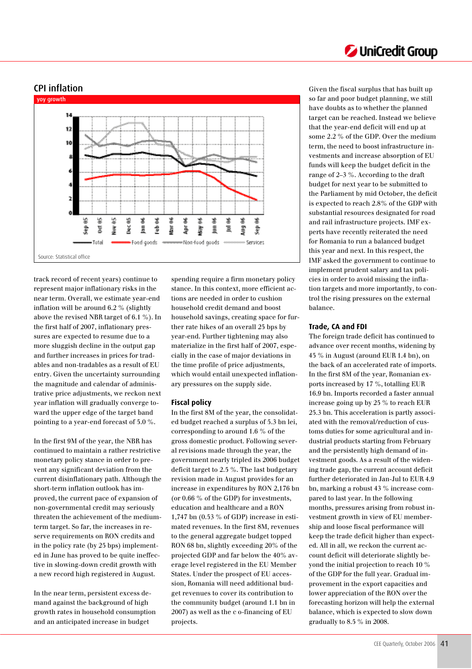# CPI inflation



track record of recent years) continue to represent major inflationary risks in the near term. Overall, we estimate year-end inflation will be around 6.2 % (slightly above the revised NBR target of 6.1 %). In the first half of 2007, inflationary pressures are expected to resume due to a more sluggish decline in the output gap and further increases in prices for tradables and non-tradables as a result of EU entry. Given the uncertainty surrounding the magnitude and calendar of administrative price adjustments, we reckon next year inflation will gradually converge toward the upper edge of the target band pointing to a year-end forecast of 5.0 %.

In the first 9M of the year, the NBR has continued to maintain a rather restrictive monetary policy stance in order to prevent any significant deviation from the current disinflationary path. Although the short-term inflation outlook has improved, the current pace of expansion of non-governmental credit may seriously threaten the achievement of the mediumterm target. So far, the increases in reserve requirements on RON credits and in the policy rate (by 25 bps) implemented in June has proved to be quite ineffective in slowing-down credit growth with a new record high registered in August.

In the near term, persistent excess demand against the background of high growth rates in household consumption and an anticipated increase in budget

spending require a firm monetary policy stance. In this context, more efficient actions are needed in order to cushion household credit demand and boost household savings, creating space for further rate hikes of an overall 25 bps by year-end. Further tightening may also materialize in the first half of 2007, especially in the case of major deviations in the time profile of price adjustments, which would entail unexpected inflationary pressures on the supply side.

#### **Fiscal policy**

In the first 8M of the year, the consolidated budget reached a surplus of 5.3 bn lei, corresponding to around 1.6 % of the gross domestic product. Following several revisions made through the year, the government nearly tripled its 2006 budget deficit target to 2.5 %. The last budgetary revision made in August provides for an increase in expenditures by RON 2,176 bn (or 0.66 % of the GDP) for investments, education and healthcare and a RON 1,747 bn (0.53 % of GDP) increase in estimated revenues. In the first 8M, revenues to the general aggregate budget topped RON 68 bn, slightly exceeding 20% of the projected GDP and far below the 40% average level registered in the EU Member States. Under the prospect of EU accession, Romania will need additional budget revenues to cover its contribution to the community budget (around 1.1 bn in 2007) as well as the c o-financing of EU projects.

Given the fiscal surplus that has built up so far and poor budget planning, we still have doubts as to whether the planned target can be reached. Instead we believe that the year-end deficit will end up at some 2.2 % of the GDP. Over the medium term, the need to boost infrastructure investments and increase absorption of EU funds will keep the budget deficit in the range of 2–3 %. According to the draft budget for next year to be submitted to the Parliament by mid October, the deficit is expected to reach 2.8% of the GDP with substantial resources designated for road and rail infrastructure projects. IMF experts have recently reiterated the need for Romania to run a balanced budget this year and next. In this respect, the IMF asked the government to continue to implement prudent salary and tax policies in order to avoid missing the inflation targets and more importantly, to control the rising pressures on the external balance.

### **Trade, CA and FDI**

The foreign trade deficit has continued to advance over recent months, widening by 45 % in August (around EUR 1.4 bn), on the back of an accelerated rate of imports. In the first 8M of the year, Romanian exports increased by 17 %, totalling EUR 16.9 bn. Imports recorded a faster annual increase going up by 25 % to reach EUR 25.3 bn. This acceleration is partly associated with the removal/reduction of customs duties for some agricultural and industrial products starting from February and the persistently high demand of investment goods. As a result of the widening trade gap, the current account deficit further deteriorated in Jan-Jul to EUR 4.9 bn, marking a robust 43 % increase compared to last year. In the following months, pressures arising from robust investment growth in view of EU membership and loose fiscal performance will keep the trade deficit higher than expected. All in all, we reckon the current account deficit will deteriorate slightly beyond the initial projection to reach 10 % of the GDP for the full year. Gradual improvement in the export capacities and lower appreciation of the RON over the forecasting horizon will help the external balance, which is expected to slow down gradually to 8.5 % in 2008.